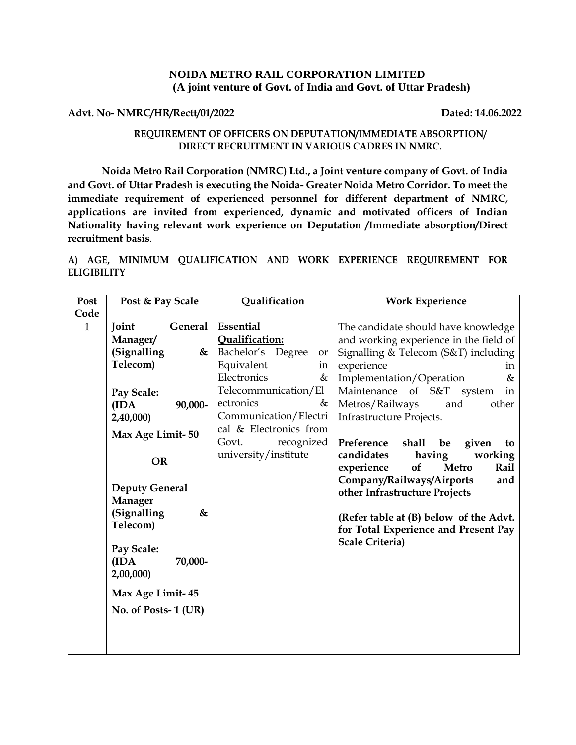### **NOIDA METRO RAIL CORPORATION LIMITED (A joint venture of Govt. of India and Govt. of Uttar Pradesh)**

#### **Advt. No- NMRC/HR/Rectt/01/2022 Dated: 14.06.2022**

### **REQUIREMENT OF OFFICERS ON DEPUTATION/IMMEDIATE ABSORPTION/ DIRECT RECRUITMENT IN VARIOUS CADRES IN NMRC.**

**Noida Metro Rail Corporation (NMRC) Ltd., a Joint venture company of Govt. of India and Govt. of Uttar Pradesh is executing the Noida- Greater Noida Metro Corridor. To meet the immediate requirement of experienced personnel for different department of NMRC, applications are invited from experienced, dynamic and motivated officers of Indian Nationality having relevant work experience on Deputation /Immediate absorption/Direct recruitment basis**.

### **A) AGE, MINIMUM QUALIFICATION AND WORK EXPERIENCE REQUIREMENT FOR ELIGIBILITY**

| Post | Post & Pay Scale                                                                              | Qualification                                                                                                                            | <b>Work Experience</b>                                                                                                                                                                                                                                  |
|------|-----------------------------------------------------------------------------------------------|------------------------------------------------------------------------------------------------------------------------------------------|---------------------------------------------------------------------------------------------------------------------------------------------------------------------------------------------------------------------------------------------------------|
| Code |                                                                                               |                                                                                                                                          |                                                                                                                                                                                                                                                         |
| 1    | Joint<br>General<br>Manager/<br>(Signalling<br>&<br>Telecom)<br>Pay Scale:<br>90,000-<br>(IDA | Essential<br>Qualification:<br>Bachelor's Degree<br>or<br>Equivalent<br>in<br>Electronics<br>&<br>Telecommunication/El<br>ectronics<br>& | The candidate should have knowledge<br>and working experience in the field of<br>Signalling & Telecom ( $S&T$ ) including<br>experience<br>in<br>Implementation/Operation<br>&<br>Maintenance<br>of S&T system<br>in<br>Metros/Railways<br>and<br>other |
|      | 2,40,000)<br>Max Age Limit-50                                                                 | Communication/Electri<br>cal & Electronics from                                                                                          | Infrastructure Projects.                                                                                                                                                                                                                                |
|      | <b>OR</b>                                                                                     | Govt.<br>recognized<br>university/institute                                                                                              | Preference<br>shall<br>given<br>be<br>to<br>having<br>candidates<br>working<br>experience<br>of<br><b>Metro</b><br>Rail                                                                                                                                 |
|      | <b>Deputy General</b><br>Manager                                                              |                                                                                                                                          | Company/Railways/Airports<br>and<br>other Infrastructure Projects                                                                                                                                                                                       |
|      | (Signalling<br>&<br>Telecom)                                                                  |                                                                                                                                          | (Refer table at (B) below of the Advt.<br>for Total Experience and Present Pay                                                                                                                                                                          |
|      | Pay Scale:<br>(IDA)<br>70,000-<br>2,00,000)                                                   |                                                                                                                                          | <b>Scale Criteria)</b>                                                                                                                                                                                                                                  |
|      | Max Age Limit-45                                                                              |                                                                                                                                          |                                                                                                                                                                                                                                                         |
|      | No. of Posts-1 (UR)                                                                           |                                                                                                                                          |                                                                                                                                                                                                                                                         |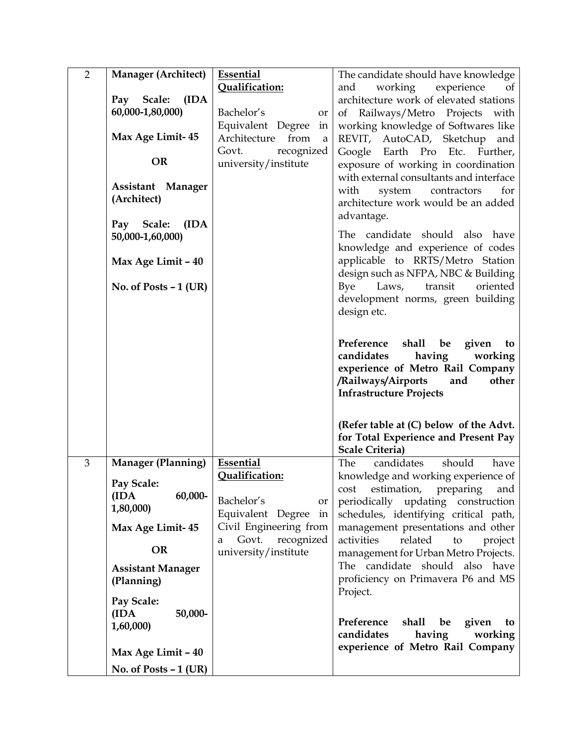| $\overline{2}$ | <b>Manager (Architect)</b> | <b>Essential</b>                         | The candidate should have knowledge                                         |
|----------------|----------------------------|------------------------------------------|-----------------------------------------------------------------------------|
|                |                            | Qualification:                           | and working experience<br>of                                                |
|                | Pay Scale:<br>(IDA)        |                                          | architecture work of elevated stations                                      |
|                | 60,000-1,80,000)           | Bachelor's<br>or                         | of Railways/Metro Projects with                                             |
|                |                            | Equivalent Degree<br>in                  | working knowledge of Softwares like                                         |
|                | Max Age Limit-45           | Architecture from<br>a                   | REVIT, AutoCAD, Sketchup and                                                |
|                | <b>OR</b>                  | Govt.<br>recognized                      | Google Earth Pro Etc. Further,                                              |
|                |                            | university/institute                     | exposure of working in coordination                                         |
|                | Assistant Manager          |                                          | with external consultants and interface                                     |
|                | (Architect)                |                                          | with system contractors<br>for                                              |
|                |                            |                                          | architecture work would be an added                                         |
|                | Pay Scale:<br>(IDA)        |                                          | advantage.                                                                  |
|                | 50,000-1,60,000)           |                                          | The candidate should also have                                              |
|                |                            |                                          | knowledge and experience of codes                                           |
|                | Max Age Limit - 40         |                                          | applicable to RRTS/Metro Station                                            |
|                |                            |                                          | design such as NFPA, NBC & Building                                         |
|                | No. of Posts $-1$ (UR)     |                                          | Bye Laws, transit<br>oriented                                               |
|                |                            |                                          | development norms, green building                                           |
|                |                            |                                          | design etc.                                                                 |
|                |                            |                                          |                                                                             |
|                |                            |                                          | Preference<br>shall be<br>given<br>to                                       |
|                |                            |                                          | candidates<br>having<br>working                                             |
|                |                            |                                          | experience of Metro Rail Company                                            |
|                |                            |                                          | /Railways/Airports<br>other<br>and                                          |
|                |                            |                                          | <b>Infrastructure Projects</b>                                              |
|                |                            |                                          |                                                                             |
|                |                            |                                          | (Refer table at (C) below of the Advt.                                      |
|                |                            |                                          | for Total Experience and Present Pay                                        |
|                |                            |                                          | <b>Scale Criteria)</b>                                                      |
| 3              | <b>Manager (Planning)</b>  | Essential                                | The<br>should<br>candidates<br>have                                         |
|                | Pay Scale:                 | Qualification:                           | knowledge and working experience of                                         |
|                | 60,000-<br>(IDA)           |                                          | cost estimation, preparing and                                              |
|                | 1,80,000)                  | Bachelor's<br>or<br>Equivalent Degree in | periodically updating construction                                          |
|                | Max Age Limit-45           | Civil Engineering from                   | schedules, identifying critical path,<br>management presentations and other |
|                |                            | Govt.<br>recognized<br>a                 | activities<br>related<br>to<br>project                                      |
|                | <b>OR</b>                  | university/institute                     | management for Urban Metro Projects.                                        |
|                | <b>Assistant Manager</b>   |                                          | The candidate should also have                                              |
|                | (Planning)                 |                                          | proficiency on Primavera P6 and MS                                          |
|                |                            |                                          | Project.                                                                    |
|                | Pay Scale:                 |                                          |                                                                             |
|                | (IDA<br>50,000-            |                                          | Preference<br>shall<br>be                                                   |
|                | 1,60,000)                  |                                          | given<br>to<br>candidates<br>having<br>working                              |
|                |                            |                                          | experience of Metro Rail Company                                            |
|                | Max Age Limit - 40         |                                          |                                                                             |
|                | No. of Posts $-1$ (UR)     |                                          |                                                                             |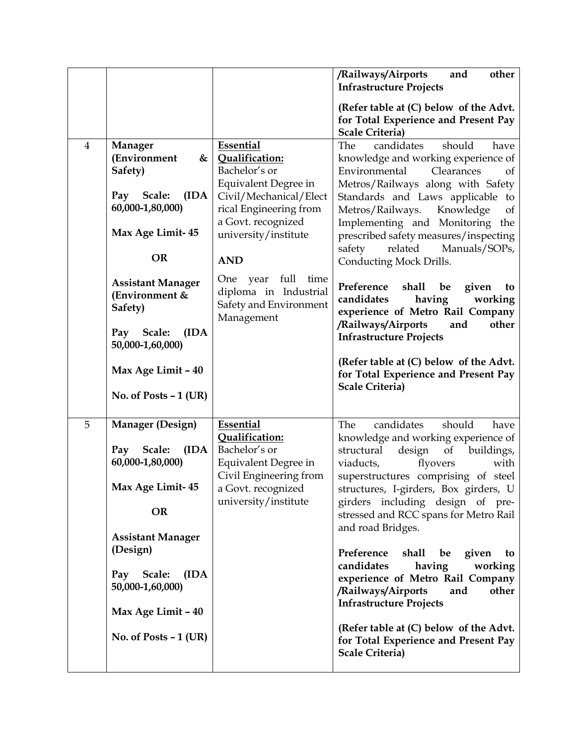|                |                                        |                                              | /Railways/Airports<br>other<br>and<br><b>Infrastructure Projects</b>                |
|----------------|----------------------------------------|----------------------------------------------|-------------------------------------------------------------------------------------|
|                |                                        |                                              |                                                                                     |
|                |                                        |                                              | (Refer table at (C) below of the Advt.<br>for Total Experience and Present Pay      |
|                |                                        |                                              | <b>Scale Criteria)</b>                                                              |
| $\overline{4}$ | <b>Manager</b>                         | Essential                                    | should<br>The<br>candidates<br>have                                                 |
|                | (Environment<br>&<br>Safety)           | Qualification:<br>Bachelor's or              | knowledge and working experience of<br>Environmental<br>Clearances<br><sub>of</sub> |
|                |                                        | Equivalent Degree in                         | Metros/Railways along with Safety                                                   |
|                | Pay Scale:<br>(IDA)                    | Civil/Mechanical/Elect                       | Standards and Laws applicable to                                                    |
|                | 60,000-1,80,000)                       | rical Engineering from                       | Metros/Railways.<br>Knowledge<br>of                                                 |
|                | Max Age Limit-45                       | a Govt. recognized<br>university/institute   | Implementing and Monitoring the<br>prescribed safety measures/inspecting            |
|                |                                        |                                              | related<br>safety<br>Manuals/SOPs,                                                  |
|                | <b>OR</b>                              | <b>AND</b>                                   | Conducting Mock Drills.                                                             |
|                | <b>Assistant Manager</b>               | One year<br>full<br>time                     | Preference<br>shall<br>given<br>be<br>to                                            |
|                | (Environment &                         | diploma in Industrial                        | candidates<br>having<br>working                                                     |
|                | Safety)                                | Safety and Environment<br>Management         | experience of Metro Rail Company                                                    |
|                | (IDA)<br>Pay Scale:                    |                                              | /Railways/Airports<br>and<br>other<br><b>Infrastructure Projects</b>                |
|                | 50,000-1,60,000)                       |                                              |                                                                                     |
|                | Max Age Limit - 40                     |                                              | (Refer table at (C) below of the Advt.                                              |
|                |                                        |                                              | for Total Experience and Present Pay<br>Scale Criteria)                             |
|                | No. of Posts $-1$ (UR)                 |                                              |                                                                                     |
|                |                                        |                                              |                                                                                     |
| 5              | <b>Manager (Design)</b>                | Essential<br>Qualification:                  | should<br>The<br>candidates<br>have<br>knowledge and working experience of          |
|                | Pay Scale:<br>(IDA)                    | Bachelor's or                                | structural<br>design<br>of buildings,                                               |
|                | 60,000-1,80,000)                       | Equivalent Degree in                         | viaducts,<br>flyovers<br>with                                                       |
|                | Max Age Limit-45                       | Civil Engineering from<br>a Govt. recognized | superstructures comprising of steel                                                 |
|                |                                        | university/institute                         | structures, I-girders, Box girders, U<br>girders including design of pre-           |
|                | <b>OR</b>                              |                                              | stressed and RCC spans for Metro Rail                                               |
|                | <b>Assistant Manager</b>               |                                              | and road Bridges.                                                                   |
|                | (Design)                               |                                              | Preference<br>shall<br>be<br>given<br>to                                            |
|                |                                        |                                              | candidates<br>having<br>working                                                     |
|                | Pay Scale:<br>(IDA<br>50,000-1,60,000) |                                              | experience of Metro Rail Company                                                    |
|                |                                        |                                              | /Railways/Airports<br>and<br>other<br><b>Infrastructure Projects</b>                |
|                | Max Age Limit - 40                     |                                              |                                                                                     |
|                | No. of Posts - 1 (UR)                  |                                              | (Refer table at (C) below of the Advt.                                              |
|                |                                        |                                              | for Total Experience and Present Pay<br>Scale Criteria)                             |
|                |                                        |                                              |                                                                                     |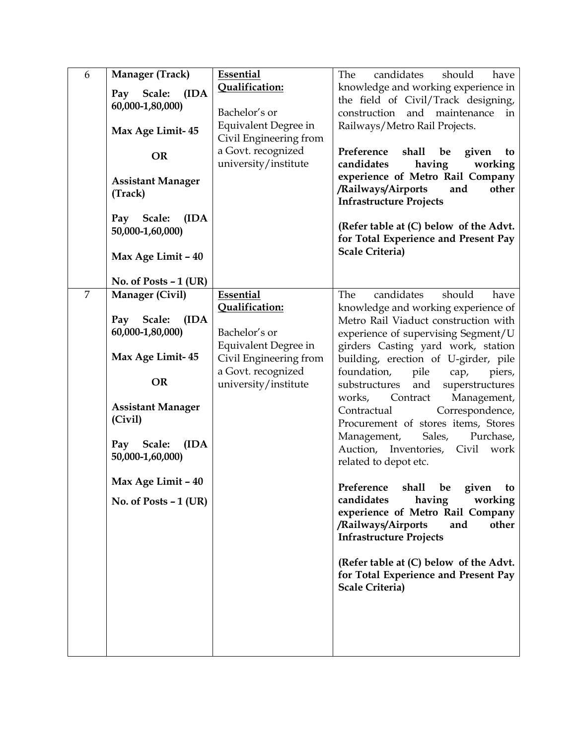| 6<br>Manager (Track)<br>Pay Scale:<br>(IDA)<br>60,000-1,80,000)<br>Max Age Limit-45<br><b>OR</b><br><b>Assistant Manager</b><br>(Track)<br>Pay Scale:<br>(IDA)<br>50,000-1,60,000)<br>Max Age Limit - 40                                                                  | <b>Essential</b><br>Qualification:<br>Bachelor's or<br>Equivalent Degree in<br>Civil Engineering from<br>a Govt. recognized<br>university/institute | candidates<br>should<br>The<br>have<br>knowledge and working experience in<br>the field of Civil/Track designing,<br>construction<br>and maintenance<br>in<br>Railways/Metro Rail Projects.<br>Preference<br>shall<br>given<br>be<br>to<br>having<br>candidates<br>working<br>experience of Metro Rail Company<br>/Railways/Airports<br>and<br>other<br><b>Infrastructure Projects</b><br>(Refer table at (C) below of the Advt.<br>for Total Experience and Present Pay<br><b>Scale Criteria)</b>                                                                                                                                                                                                                                                                                                                                   |
|---------------------------------------------------------------------------------------------------------------------------------------------------------------------------------------------------------------------------------------------------------------------------|-----------------------------------------------------------------------------------------------------------------------------------------------------|--------------------------------------------------------------------------------------------------------------------------------------------------------------------------------------------------------------------------------------------------------------------------------------------------------------------------------------------------------------------------------------------------------------------------------------------------------------------------------------------------------------------------------------------------------------------------------------------------------------------------------------------------------------------------------------------------------------------------------------------------------------------------------------------------------------------------------------|
| No. of Posts $-1$ (UR)<br>$\overline{7}$<br>Manager (Civil)<br>Pay Scale:<br>(IDA)<br>60,000-1,80,000)<br>Max Age Limit-45<br><b>OR</b><br><b>Assistant Manager</b><br>(Civil)<br>Pay Scale:<br>(IDA)<br>50,000-1,60,000)<br>Max Age Limit - 40<br>No. of Posts $-1$ (UR) | Essential<br>Qualification:<br>Bachelor's or<br>Equivalent Degree in<br>Civil Engineering from<br>a Govt. recognized<br>university/institute        | candidates<br>should<br>The<br>have<br>knowledge and working experience of<br>Metro Rail Viaduct construction with<br>experience of supervising Segment/U<br>girders Casting yard work, station<br>building, erection of U-girder, pile<br>foundation,<br>pile<br>piers,<br>cap,<br>substructures<br>and<br>superstructures<br>works, Contract<br>Management,<br>Correspondence,<br>Contractual<br>Procurement of stores items, Stores<br>Management, Sales,<br>Purchase,<br>Auction, Inventories, Civil<br>work<br>related to depot etc.<br>Preference shall be given to<br>candidates<br>having<br>working<br>experience of Metro Rail Company<br>/Railways/Airports<br>other<br>and<br><b>Infrastructure Projects</b><br>(Refer table at (C) below of the Advt.<br>for Total Experience and Present Pay<br><b>Scale Criteria)</b> |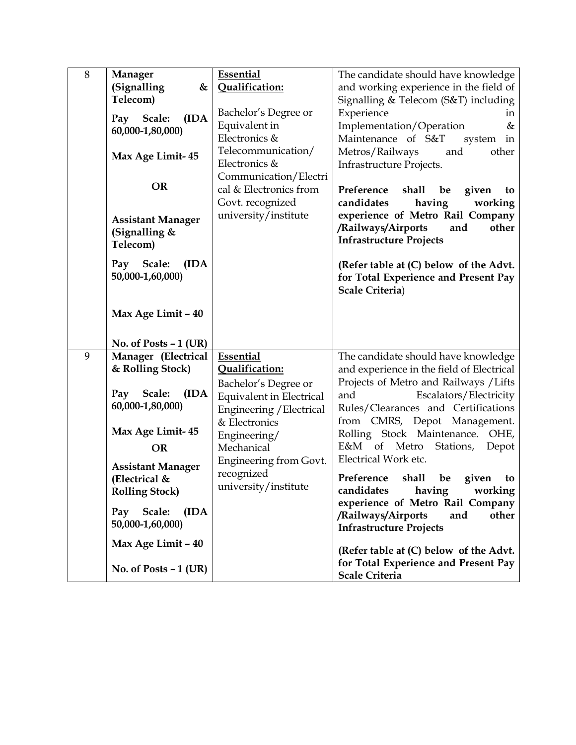| $8\,$ | Manager<br>(Signalling<br>&<br>Telecom)<br>Pay Scale:<br>(IDA<br>60,000-1,80,000)<br>Max Age Limit-45<br><b>OR</b><br><b>Assistant Manager</b><br>(Signalling &<br>Telecom)<br>Pay Scale:<br>(IDA<br>50,000-1,60,000)<br>Max Age Limit - 40 | <b>Essential</b><br>Qualification:<br>Bachelor's Degree or<br>Equivalent in<br>Electronics &<br>Telecommunication/<br>Electronics &<br>Communication/Electri<br>cal & Electronics from<br>Govt. recognized<br>university/institute | The candidate should have knowledge<br>and working experience in the field of<br>Signalling & Telecom (S&T) including<br>Experience<br>in<br>Implementation/Operation<br>&<br>Maintenance of S&T<br>system<br>in<br>Metros/Railways<br>other<br>and<br>Infrastructure Projects.<br>Preference<br>shall<br>be<br>given<br>to<br>candidates<br>having<br>working<br>experience of Metro Rail Company<br>/Railways/Airports<br>other<br>and<br><b>Infrastructure Projects</b><br>(Refer table at (C) below of the Advt.<br>for Total Experience and Present Pay<br>Scale Criteria) |
|-------|---------------------------------------------------------------------------------------------------------------------------------------------------------------------------------------------------------------------------------------------|------------------------------------------------------------------------------------------------------------------------------------------------------------------------------------------------------------------------------------|---------------------------------------------------------------------------------------------------------------------------------------------------------------------------------------------------------------------------------------------------------------------------------------------------------------------------------------------------------------------------------------------------------------------------------------------------------------------------------------------------------------------------------------------------------------------------------|
|       | No. of Posts $-1$ (UR)                                                                                                                                                                                                                      |                                                                                                                                                                                                                                    |                                                                                                                                                                                                                                                                                                                                                                                                                                                                                                                                                                                 |
| 9     | Manager (Electrical<br>& Rolling Stock)<br>Scale:<br>(IDA<br>Pay<br>60,000-1,80,000)<br>Max Age Limit-45<br><b>OR</b><br><b>Assistant Manager</b>                                                                                           | Essential<br>Qualification:<br>Bachelor's Degree or<br><b>Equivalent in Electrical</b><br>Engineering / Electrical<br>& Electronics<br>Engineering/<br>Mechanical<br><b>Engineering from Govt.</b>                                 | The candidate should have knowledge<br>and experience in the field of Electrical<br>Projects of Metro and Railways / Lifts<br>Escalators/Electricity<br>and<br>Rules/Clearances and Certifications<br>from CMRS, Depot Management.<br>Rolling Stock Maintenance.<br>OHE,<br>E&M of Metro<br>Stations,<br>Depot<br>Electrical Work etc.                                                                                                                                                                                                                                          |
|       | (Electrical &<br><b>Rolling Stock</b> )<br>Pay Scale:<br>(IDA<br>50,000-1,60,000)                                                                                                                                                           | recognized<br>university/institute                                                                                                                                                                                                 | Preference<br>shall be<br>given<br>to<br>candidates<br>having<br>working<br>experience of Metro Rail Company<br>/Railways/Airports<br>other<br>and                                                                                                                                                                                                                                                                                                                                                                                                                              |
|       | Max Age Limit - 40                                                                                                                                                                                                                          |                                                                                                                                                                                                                                    | <b>Infrastructure Projects</b><br>(Refer table at (C) below of the Advt.                                                                                                                                                                                                                                                                                                                                                                                                                                                                                                        |
|       | No. of Posts $-1$ (UR)                                                                                                                                                                                                                      |                                                                                                                                                                                                                                    | for Total Experience and Present Pay<br>Scale Criteria                                                                                                                                                                                                                                                                                                                                                                                                                                                                                                                          |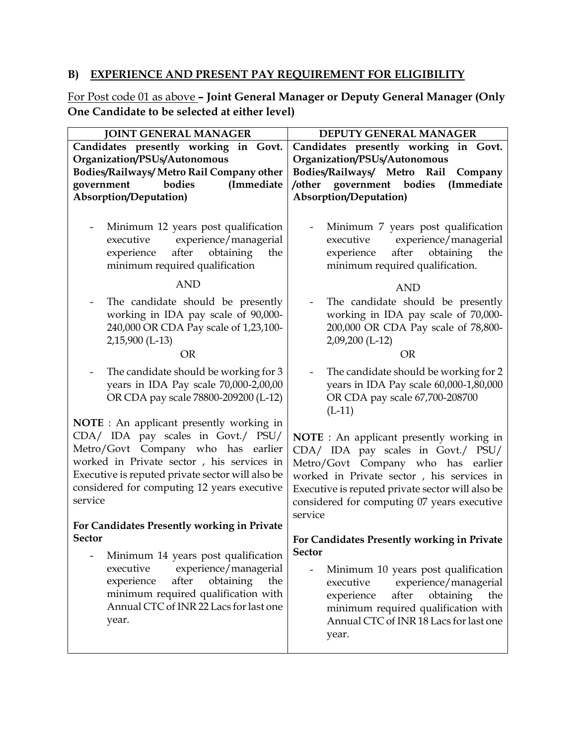# **B) EXPERIENCE AND PRESENT PAY REQUIREMENT FOR ELIGIBILITY**

For Post code 01 as above **– Joint General Manager or Deputy General Manager (Only One Candidate to be selected at either level)**

| <b>JOINT GENERAL MANAGER</b>                                                                                                                                                                                                                                                                                                          | DEPUTY GENERAL MANAGER                                                                                                                                                                                                                                                                 |  |
|---------------------------------------------------------------------------------------------------------------------------------------------------------------------------------------------------------------------------------------------------------------------------------------------------------------------------------------|----------------------------------------------------------------------------------------------------------------------------------------------------------------------------------------------------------------------------------------------------------------------------------------|--|
| Candidates presently working in Govt.<br>Organization/PSUs/Autonomous<br>Bodies/Railways/ Metro Rail Company other<br>bodies<br>(Immediate<br>government                                                                                                                                                                              | Candidates presently working in Govt.<br>Organization/PSUs/Autonomous<br>Bodies/Railways/ Metro<br>Rail<br>Company<br>government bodies<br>/other<br>(Immediate                                                                                                                        |  |
| <b>Absorption/Deputation)</b>                                                                                                                                                                                                                                                                                                         | Absorption/Deputation)                                                                                                                                                                                                                                                                 |  |
| Minimum 12 years post qualification<br>experience/managerial<br>executive<br>experience<br>after<br>obtaining<br>the<br>minimum required qualification<br><b>AND</b><br>The candidate should be presently<br>working in IDA pay scale of 90,000-                                                                                      | Minimum 7 years post qualification<br>experience/managerial<br>executive<br>experience<br>after<br>obtaining<br>the<br>minimum required qualification.<br>AND<br>The candidate should be presently<br>working in IDA pay scale of 70,000-                                              |  |
| 240,000 OR CDA Pay scale of 1,23,100-<br>2,15,900 (L-13)<br><b>OR</b>                                                                                                                                                                                                                                                                 | 200,000 OR CDA Pay scale of 78,800-<br>2,09,200 (L-12)<br><b>OR</b>                                                                                                                                                                                                                    |  |
| The candidate should be working for 3<br>years in IDA Pay scale 70,000-2,00,00<br>OR CDA pay scale 78800-209200 (L-12)                                                                                                                                                                                                                | The candidate should be working for 2<br>years in IDA Pay scale 60,000-1,80,000<br>OR CDA pay scale 67,700-208700<br>$(L-11)$                                                                                                                                                          |  |
| <b>NOTE</b> : An applicant presently working in<br>CDA/ IDA pay scales in Govt./ PSU/<br>Metro/Govt Company who has earlier<br>worked in Private sector, his services in<br>Executive is reputed private sector will also be<br>considered for computing 12 years executive<br>service<br>For Candidates Presently working in Private | <b>NOTE</b> : An applicant presently working in<br>CDA/ IDA pay scales in Govt./ PSU/<br>Metro/Govt Company who has earlier<br>worked in Private sector, his services in<br>Executive is reputed private sector will also be<br>considered for computing 07 years executive<br>service |  |
| <b>Sector</b>                                                                                                                                                                                                                                                                                                                         | For Candidates Presently working in Private                                                                                                                                                                                                                                            |  |
| Minimum 14 years post qualification<br>executive<br>experience/managerial<br>after<br>obtaining<br>the<br>experience<br>minimum required qualification with<br>Annual CTC of INR 22 Lacs for last one<br>year.                                                                                                                        | <b>Sector</b><br>Minimum 10 years post qualification<br>executive<br>experience/managerial<br>after<br>experience<br>obtaining<br>the<br>minimum required qualification with<br>Annual CTC of INR 18 Lacs for last one<br>year.                                                        |  |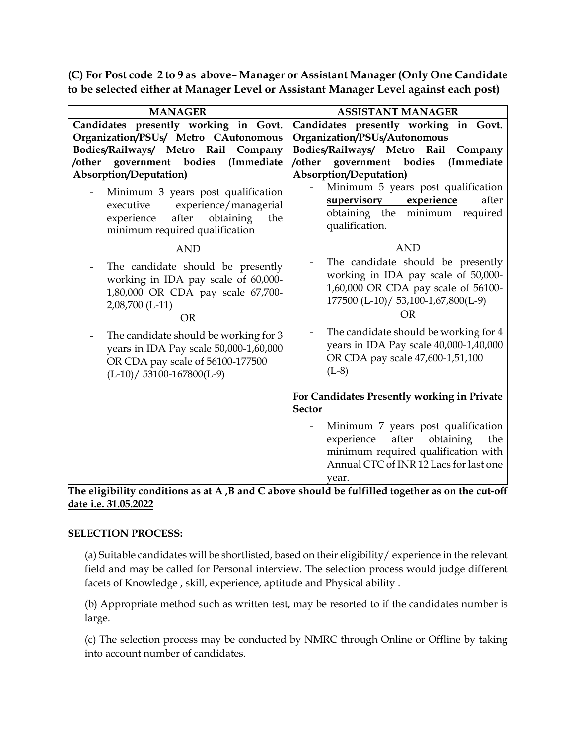**(C) For Post code 2 to 9 as above**– **Manager or Assistant Manager (Only One Candidate to be selected either at Manager Level or Assistant Manager Level against each post)**

| <b>MANAGER</b>                                                                                                                                                                                                                                                                                       | <b>ASSISTANT MANAGER</b>                                                                                                                                                                                                                                                                              |  |  |
|------------------------------------------------------------------------------------------------------------------------------------------------------------------------------------------------------------------------------------------------------------------------------------------------------|-------------------------------------------------------------------------------------------------------------------------------------------------------------------------------------------------------------------------------------------------------------------------------------------------------|--|--|
| Candidates presently working in Govt.                                                                                                                                                                                                                                                                | Candidates presently working in Govt.                                                                                                                                                                                                                                                                 |  |  |
| Organization/PSUs/ Metro CAutonomous                                                                                                                                                                                                                                                                 | Organization/PSUs/Autonomous                                                                                                                                                                                                                                                                          |  |  |
| Bodies/Railways/ Metro Rail<br>Company                                                                                                                                                                                                                                                               | Bodies/Railways/ Metro Rail<br>Company                                                                                                                                                                                                                                                                |  |  |
| /other government bodies<br>(Immediate                                                                                                                                                                                                                                                               | /other<br>government bodies<br>(Immediate                                                                                                                                                                                                                                                             |  |  |
| <b>Absorption/Deputation)</b>                                                                                                                                                                                                                                                                        | Absorption/Deputation)                                                                                                                                                                                                                                                                                |  |  |
| Minimum 3 years post qualification<br>executive experience/managerial<br>after<br>obtaining<br>experience<br>the<br>minimum required qualification                                                                                                                                                   | Minimum 5 years post qualification<br><u>supervisory</u><br>experience<br>after<br>obtaining the minimum required<br>qualification.                                                                                                                                                                   |  |  |
| <b>AND</b>                                                                                                                                                                                                                                                                                           | <b>AND</b>                                                                                                                                                                                                                                                                                            |  |  |
| The candidate should be presently<br>working in IDA pay scale of 60,000-<br>1,80,000 OR CDA pay scale 67,700-<br>2,08,700 (L-11)<br><b>OR</b><br>The candidate should be working for 3<br>years in IDA Pay scale 50,000-1,60,000<br>OR CDA pay scale of 56100-177500<br>$(L-10) / 53100-167800(L-9)$ | The candidate should be presently<br>working in IDA pay scale of 50,000-<br>1,60,000 OR CDA pay scale of 56100-<br>177500 (L-10)/ 53,100-1,67,800(L-9)<br><b>OR</b><br>The candidate should be working for 4<br>years in IDA Pay scale 40,000-1,40,000<br>OR CDA pay scale 47,600-1,51,100<br>$(L-8)$ |  |  |
|                                                                                                                                                                                                                                                                                                      | For Candidates Presently working in Private<br><b>Sector</b>                                                                                                                                                                                                                                          |  |  |
|                                                                                                                                                                                                                                                                                                      | Minimum 7 years post qualification<br>after<br>obtaining<br>experience<br>the<br>minimum required qualification with<br>Annual CTC of INR 12 Lacs for last one<br>vear.                                                                                                                               |  |  |

## **The eligibility conditions as at A ,B and C above should be fulfilled together as on the cut-off date i.e. 31.05.2022**

### **SELECTION PROCESS:**

(a) Suitable candidates will be shortlisted, based on their eligibility/ experience in the relevant field and may be called for Personal interview. The selection process would judge different facets of Knowledge , skill, experience, aptitude and Physical ability .

(b) Appropriate method such as written test, may be resorted to if the candidates number is large.

(c) The selection process may be conducted by NMRC through Online or Offline by taking into account number of candidates.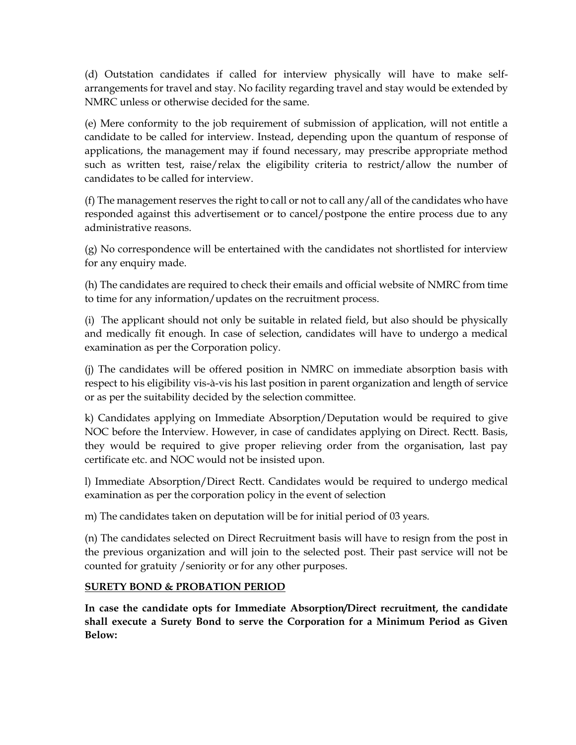(d) Outstation candidates if called for interview physically will have to make selfarrangements for travel and stay. No facility regarding travel and stay would be extended by NMRC unless or otherwise decided for the same.

(e) Mere conformity to the job requirement of submission of application, will not entitle a candidate to be called for interview. Instead, depending upon the quantum of response of applications, the management may if found necessary, may prescribe appropriate method such as written test, raise/relax the eligibility criteria to restrict/allow the number of candidates to be called for interview.

(f) The management reserves the right to call or not to call any/all of the candidates who have responded against this advertisement or to cancel/postpone the entire process due to any administrative reasons.

(g) No correspondence will be entertained with the candidates not shortlisted for interview for any enquiry made.

(h) The candidates are required to check their emails and official website of NMRC from time to time for any information/updates on the recruitment process.

(i) The applicant should not only be suitable in related field, but also should be physically and medically fit enough. In case of selection, candidates will have to undergo a medical examination as per the Corporation policy.

(j) The candidates will be offered position in NMRC on immediate absorption basis with respect to his eligibility vis-à-vis his last position in parent organization and length of service or as per the suitability decided by the selection committee.

k) Candidates applying on Immediate Absorption/Deputation would be required to give NOC before the Interview. However, in case of candidates applying on Direct. Rectt. Basis, they would be required to give proper relieving order from the organisation, last pay certificate etc. and NOC would not be insisted upon.

l) Immediate Absorption/Direct Rectt. Candidates would be required to undergo medical examination as per the corporation policy in the event of selection

m) The candidates taken on deputation will be for initial period of 03 years.

(n) The candidates selected on Direct Recruitment basis will have to resign from the post in the previous organization and will join to the selected post. Their past service will not be counted for gratuity /seniority or for any other purposes.

## **SURETY BOND & PROBATION PERIOD**

**In case the candidate opts for Immediate Absorption/Direct recruitment, the candidate shall execute a Surety Bond to serve the Corporation for a Minimum Period as Given Below:**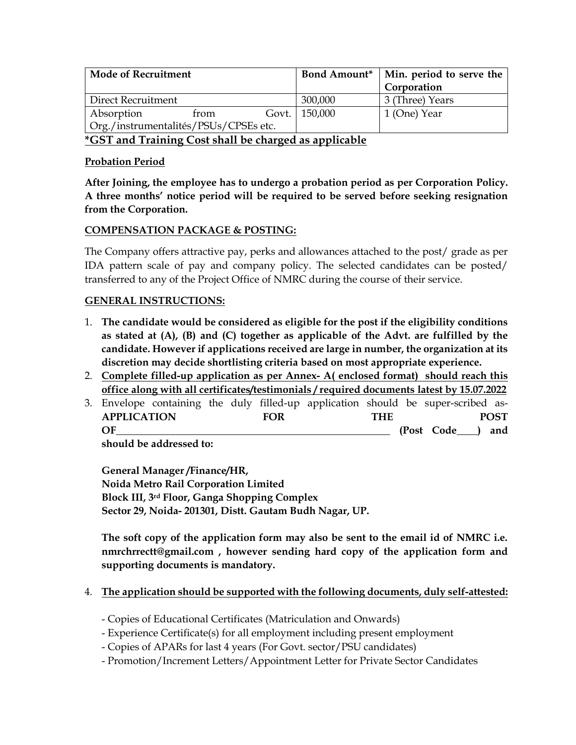| <b>Mode of Recruitment</b>            | <b>Bond Amount*</b> | Min. period to serve the<br>Corporation |
|---------------------------------------|---------------------|-----------------------------------------|
| Direct Recruitment                    | 300,000             | 3 (Three) Years                         |
| Absorption<br>from                    | Govt. 150,000       | 1 (One) Year                            |
| Org./instrumentalités/PSUs/CPSEs etc. |                     |                                         |

**\*GST and Training Cost shall be charged as applicable**

### **Probation Period**

**After Joining, the employee has to undergo a probation period as per Corporation Policy. A three months' notice period will be required to be served before seeking resignation from the Corporation.**

### **COMPENSATION PACKAGE & POSTING:**

The Company offers attractive pay, perks and allowances attached to the post/ grade as per IDA pattern scale of pay and company policy. The selected candidates can be posted/ transferred to any of the Project Office of NMRC during the course of their service.

### **GENERAL INSTRUCTIONS:**

- 1. **The candidate would be considered as eligible for the post if the eligibility conditions as stated at (A), (B) and (C) together as applicable of the Advt. are fulfilled by the candidate. However if applications received are large in number, the organization at its discretion may decide shortlisting criteria based on most appropriate experience.**
- 2. **Complete filled-up application as per Annex- A( enclosed format) should reach this office along with all certificates/testimonials / required documents latest by 15.07.2022**
- 3. Envelope containing the duly filled-up application should be super-scribed as-**APPLICATION FOR THE POST OF\_\_\_\_\_\_\_\_\_\_\_\_\_\_\_\_\_\_\_\_\_\_\_\_\_\_\_\_\_\_\_\_\_\_\_\_\_\_\_\_\_\_\_\_\_\_\_\_\_\_\_\_\_ (Post Code\_\_\_\_) and**

**should be addressed to:** 

**General Manager /Finance/HR, Noida Metro Rail Corporation Limited Block III, 3rd Floor, Ganga Shopping Complex Sector 29, Noida- 201301, Distt. Gautam Budh Nagar, UP.**

**The soft copy of the application form may also be sent to the email id of NMRC i.e. nmrchrrectt@gmail.com , however sending hard copy of the application form and supporting documents is mandatory.**

### 4. **The application should be supported with the following documents, duly self-attested:**

- Copies of Educational Certificates (Matriculation and Onwards)
- Experience Certificate(s) for all employment including present employment
- Copies of APARs for last 4 years (For Govt. sector/PSU candidates)
- Promotion/Increment Letters/Appointment Letter for Private Sector Candidates